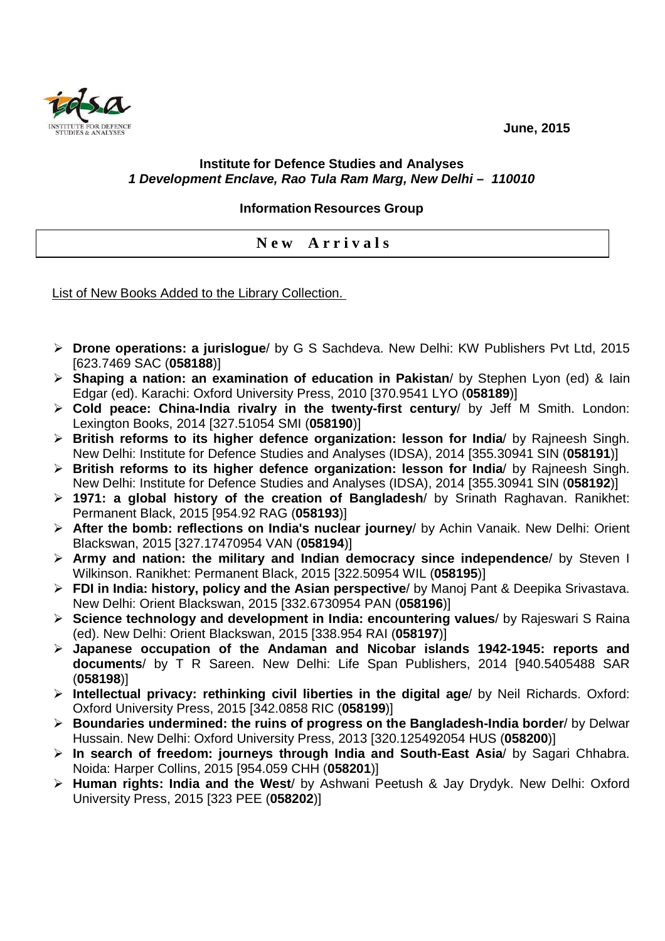**June, 2015** 



## **Institute for Defence Studies and Analyses 1 Development Enclave, Rao Tula Ram Marg, New Delhi – 110010**

## **Information Resources Group**

**N e w A r r i v a l s** 

List of New Books Added to the Library Collection.

- **Drone operations: a jurislogue**/ by G S Sachdeva. New Delhi: KW Publishers Pvt Ltd, 2015 [623.7469 SAC (**058188**)]
- **Shaping a nation: an examination of education in Pakistan**/ by Stephen Lyon (ed) & Iain Edgar (ed). Karachi: Oxford University Press, 2010 [370.9541 LYO (**058189**)]
- **Cold peace: China-India rivalry in the twenty-first century**/ by Jeff M Smith. London: Lexington Books, 2014 [327.51054 SMI (**058190**)]
- **British reforms to its higher defence organization: lesson for India**/ by Rajneesh Singh. New Delhi: Institute for Defence Studies and Analyses (IDSA), 2014 [355.30941 SIN (**058191**)]
- **British reforms to its higher defence organization: lesson for India**/ by Rajneesh Singh. New Delhi: Institute for Defence Studies and Analyses (IDSA), 2014 [355.30941 SIN (**058192**)]
- **1971: a global history of the creation of Bangladesh**/ by Srinath Raghavan. Ranikhet: Permanent Black, 2015 [954.92 RAG (**058193**)]
- **After the bomb: reflections on India's nuclear journey**/ by Achin Vanaik. New Delhi: Orient Blackswan, 2015 [327.17470954 VAN (**058194**)]
- **Army and nation: the military and Indian democracy since independence**/ by Steven I Wilkinson. Ranikhet: Permanent Black, 2015 [322.50954 WIL (**058195**)]
- **FDI in India: history, policy and the Asian perspective**/ by Manoj Pant & Deepika Srivastava. New Delhi: Orient Blackswan, 2015 [332.6730954 PAN (**058196**)]
- **Science technology and development in India: encountering values**/ by Rajeswari S Raina (ed). New Delhi: Orient Blackswan, 2015 [338.954 RAI (**058197**)]
- **Japanese occupation of the Andaman and Nicobar islands 1942-1945: reports and documents**/ by T R Sareen. New Delhi: Life Span Publishers, 2014 [940.5405488 SAR (**058198**)]
- **Intellectual privacy: rethinking civil liberties in the digital age**/ by Neil Richards. Oxford: Oxford University Press, 2015 [342.0858 RIC (**058199**)]
- **Boundaries undermined: the ruins of progress on the Bangladesh-India border**/ by Delwar Hussain. New Delhi: Oxford University Press, 2013 [320.125492054 HUS (**058200**)]
- **In search of freedom: journeys through India and South-East Asia**/ by Sagari Chhabra. Noida: Harper Collins, 2015 [954.059 CHH (**058201**)]
- **Human rights: India and the West**/ by Ashwani Peetush & Jay Drydyk. New Delhi: Oxford University Press, 2015 [323 PEE (**058202**)]